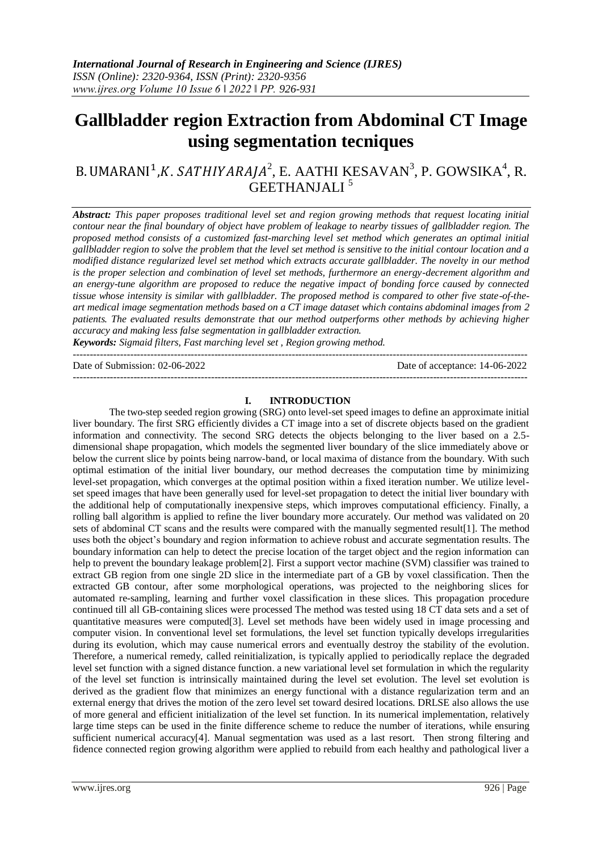# **Gallbladder region Extraction from Abdominal CT Image using segmentation tecniques**

## B. UMARANI<sup>1</sup>,K. SATHIYARAJA<sup>2</sup>, E. AATHI KESAVAN<sup>3</sup>, P. GOWSIKA<sup>4</sup>, R. GEETHANJALI<sup>5</sup>

*Abstract: This paper proposes traditional level set and region growing methods that request locating initial contour near the final boundary of object have problem of leakage to nearby tissues of gallbladder region. The proposed method consists of a customized fast-marching level set method which generates an optimal initial gallbladder region to solve the problem that the level set method is sensitive to the initial contour location and a modified distance regularized level set method which extracts accurate gallbladder. The novelty in our method is the proper selection and combination of level set methods, furthermore an energy-decrement algorithm and an energy-tune algorithm are proposed to reduce the negative impact of bonding force caused by connected tissue whose intensity is similar with gallbladder. The proposed method is compared to other five state-of-theart medical image segmentation methods based on a CT image dataset which contains abdominal images from 2 patients. The evaluated results demonstrate that our method outperforms other methods by achieving higher accuracy and making less false segmentation in gallbladder extraction. Keywords: Sigmaid filters, Fast marching level set , Region growing method.*

--------------------------------------------------------------------------------------------------------------------------------------- Date of Submission: 02-06-2022 Date of acceptance: 14-06-2022 ---------------------------------------------------------------------------------------------------------------------------------------

## **I. INTRODUCTION**

The two-step seeded region growing (SRG) onto level-set speed images to define an approximate initial liver boundary. The first SRG efficiently divides a CT image into a set of discrete objects based on the gradient information and connectivity. The second SRG detects the objects belonging to the liver based on a 2.5 dimensional shape propagation, which models the segmented liver boundary of the slice immediately above or below the current slice by points being narrow-band, or local maxima of distance from the boundary. With such optimal estimation of the initial liver boundary, our method decreases the computation time by minimizing level-set propagation, which converges at the optimal position within a fixed iteration number. We utilize levelset speed images that have been generally used for level-set propagation to detect the initial liver boundary with the additional help of computationally inexpensive steps, which improves computational efficiency. Finally, a rolling ball algorithm is applied to refine the liver boundary more accurately. Our method was validated on 20 sets of abdominal CT scans and the results were compared with the manually segmented result[1]. The method uses both the object's boundary and region information to achieve robust and accurate segmentation results. The boundary information can help to detect the precise location of the target object and the region information can help to prevent the boundary leakage problem[2]. First a support vector machine (SVM) classifier was trained to extract GB region from one single 2D slice in the intermediate part of a GB by voxel classification. Then the extracted GB contour, after some morphological operations, was projected to the neighboring slices for automated re-sampling, learning and further voxel classification in these slices. This propagation procedure continued till all GB-containing slices were processed The method was tested using 18 CT data sets and a set of quantitative measures were computed[3]. Level set methods have been widely used in image processing and computer vision. In conventional level set formulations, the level set function typically develops irregularities during its evolution, which may cause numerical errors and eventually destroy the stability of the evolution. Therefore, a numerical remedy, called reinitialization, is typically applied to periodically replace the degraded level set function with a signed distance function. a new variational level set formulation in which the regularity of the level set function is intrinsically maintained during the level set evolution. The level set evolution is derived as the gradient flow that minimizes an energy functional with a distance regularization term and an external energy that drives the motion of the zero level set toward desired locations. DRLSE also allows the use of more general and efficient initialization of the level set function. In its numerical implementation, relatively large time steps can be used in the finite difference scheme to reduce the number of iterations, while ensuring sufficient numerical accuracy<sup>[4]</sup>. Manual segmentation was used as a last resort. Then strong filtering and fidence connected region growing algorithm were applied to rebuild from each healthy and pathological liver a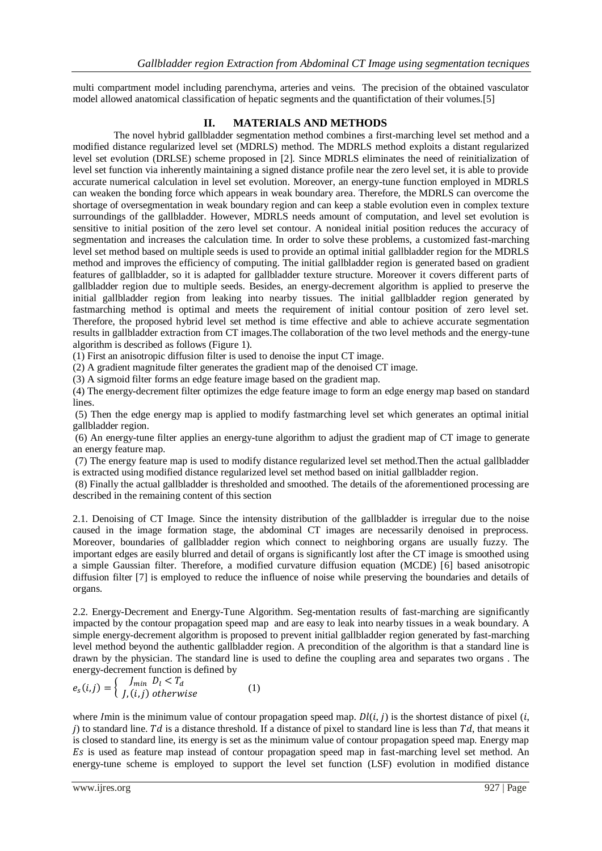multi compartment model including parenchyma, arteries and veins. The precision of the obtained vasculator model allowed anatomical classification of hepatic segments and the quantifictation of their volumes.[5]

## **II. MATERIALS AND METHODS**

The novel hybrid gallbladder segmentation method combines a first-marching level set method and a modified distance regularized level set (MDRLS) method. The MDRLS method exploits a distant regularized level set evolution (DRLSE) scheme proposed in [2]. Since MDRLS eliminates the need of reinitialization of level set function via inherently maintaining a signed distance profile near the zero level set, it is able to provide accurate numerical calculation in level set evolution. Moreover, an energy-tune function employed in MDRLS can weaken the bonding force which appears in weak boundary area. Therefore, the MDRLS can overcome the shortage of oversegmentation in weak boundary region and can keep a stable evolution even in complex texture surroundings of the gallbladder. However, MDRLS needs amount of computation, and level set evolution is sensitive to initial position of the zero level set contour. A nonideal initial position reduces the accuracy of segmentation and increases the calculation time. In order to solve these problems, a customized fast-marching level set method based on multiple seeds is used to provide an optimal initial gallbladder region for the MDRLS method and improves the efficiency of computing. The initial gallbladder region is generated based on gradient features of gallbladder, so it is adapted for gallbladder texture structure. Moreover it covers different parts of gallbladder region due to multiple seeds. Besides, an energy-decrement algorithm is applied to preserve the initial gallbladder region from leaking into nearby tissues. The initial gallbladder region generated by fastmarching method is optimal and meets the requirement of initial contour position of zero level set. Therefore, the proposed hybrid level set method is time effective and able to achieve accurate segmentation results in gallbladder extraction from CT images.The collaboration of the two level methods and the energy-tune algorithm is described as follows (Figure 1).

(1) First an anisotropic diffusion filter is used to denoise the input CT image.

(2) A gradient magnitude filter generates the gradient map of the denoised CT image.

(3) A sigmoid filter forms an edge feature image based on the gradient map.

(4) The energy-decrement filter optimizes the edge feature image to form an edge energy map based on standard lines.

(5) Then the edge energy map is applied to modify fastmarching level set which generates an optimal initial gallbladder region.

(6) An energy-tune filter applies an energy-tune algorithm to adjust the gradient map of CT image to generate an energy feature map.

(7) The energy feature map is used to modify distance regularized level set method.Then the actual gallbladder is extracted using modified distance regularized level set method based on initial gallbladder region.

(8) Finally the actual gallbladder is thresholded and smoothed. The details of the aforementioned processing are described in the remaining content of this section

2.1. Denoising of CT Image. Since the intensity distribution of the gallbladder is irregular due to the noise caused in the image formation stage, the abdominal CT images are necessarily denoised in preprocess. Moreover, boundaries of gallbladder region which connect to neighboring organs are usually fuzzy. The important edges are easily blurred and detail of organs is significantly lost after the CT image is smoothed using a simple Gaussian filter. Therefore, a modified curvature diffusion equation (MCDE) [6] based anisotropic diffusion filter [7] is employed to reduce the influence of noise while preserving the boundaries and details of organs.

2.2. Energy-Decrement and Energy-Tune Algorithm. Seg-mentation results of fast-marching are significantly impacted by the contour propagation speed map and are easy to leak into nearby tissues in a weak boundary. A simple energy-decrement algorithm is proposed to prevent initial gallbladder region generated by fast-marching level method beyond the authentic gallbladder region. A precondition of the algorithm is that a standard line is drawn by the physician. The standard line is used to define the coupling area and separates two organs . The energy-decrement function is defined by

$$
e_s(i,j) = \begin{cases} J_{min} & D_l < T_d \\ J, (i,j) & otherwise \end{cases}
$$
 (1)

where Imin is the minimum value of contour propagation speed map.  $D(l, i)$  is the shortest distance of pixel  $(i, j)$ i) to standard line. Td is a distance threshold. If a distance of pixel to standard line is less than  $Td$ , that means it is closed to standard line, its energy is set as the minimum value of contour propagation speed map. Energy map Es is used as feature map instead of contour propagation speed map in fast-marching level set method. An energy-tune scheme is employed to support the level set function (LSF) evolution in modified distance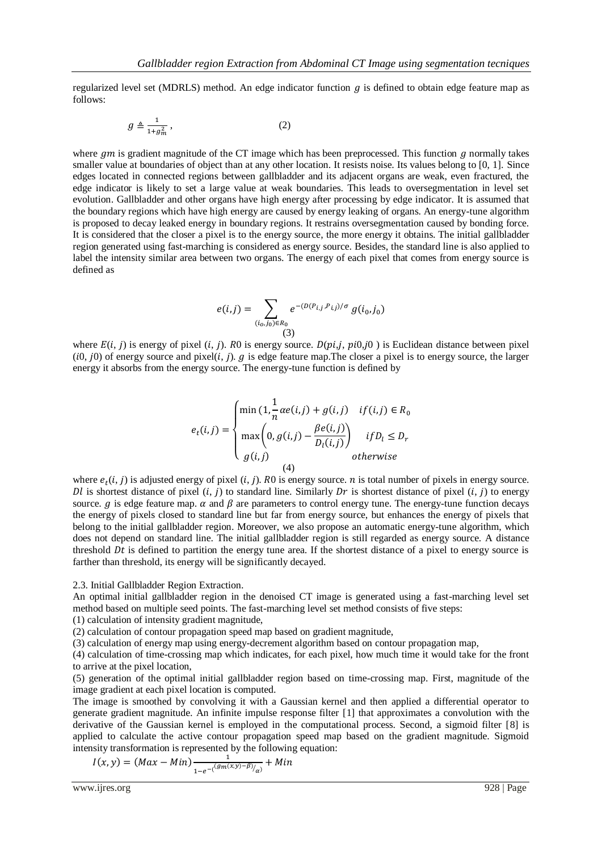regularized level set (MDRLS) method. An edge indicator function q is defined to obtain edge feature map as follows:

$$
g \triangleq \frac{1}{1 + g_m^2},\tag{2}
$$

where  $qm$  is gradient magnitude of the CT image which has been preprocessed. This function q normally takes smaller value at boundaries of object than at any other location. It resists noise. Its values belong to [0, 1]. Since edges located in connected regions between gallbladder and its adjacent organs are weak, even fractured, the edge indicator is likely to set a large value at weak boundaries. This leads to oversegmentation in level set evolution. Gallbladder and other organs have high energy after processing by edge indicator. It is assumed that the boundary regions which have high energy are caused by energy leaking of organs. An energy-tune algorithm is proposed to decay leaked energy in boundary regions. It restrains oversegmentation caused by bonding force. It is considered that the closer a pixel is to the energy source, the more energy it obtains. The initial gallbladder region generated using fast-marching is considered as energy source. Besides, the standard line is also applied to label the intensity similar area between two organs. The energy of each pixel that comes from energy source is defined as

$$
e(i,j) = \sum_{(i_0,j_0)\in R_0} e^{-(D(P_{i,j}, P_{i,j})/\sigma)} g(i_0, j_0)
$$
\n(3)

where  $E(i, j)$  is energy of pixel  $(i, j)$ . R0 is energy source.  $D(pi, j, pi0, j0)$  is Euclidean distance between pixel  $(0, j0)$  of energy source and pixel $(i, j)$ . g is edge feature map. The closer a pixel is to energy source, the larger energy it absorbs from the energy source. The energy-tune function is defined by

$$
e_t(i,j) = \begin{cases} \min(1, \frac{1}{n} \alpha e(i,j) + g(i,j) & \text{if } (i,j) \in R_0 \\ \max\left(0, g(i,j) - \frac{\beta e(i,j)}{D_l(i,j)}\right) & \text{if } D_l \le D_r \\ g(i,j) & \text{otherwise} \end{cases}
$$

where  $e_t(i, j)$  is adjusted energy of pixel  $(i, j)$ . R0 is energy source. *n* is total number of pixels in energy source. Dl is shortest distance of pixel  $(i, j)$  to standard line. Similarly Dr is shortest distance of pixel  $(i, j)$  to energy source. g is edge feature map.  $\alpha$  and  $\beta$  are parameters to control energy tune. The energy-tune function decays the energy of pixels closed to standard line but far from energy source, but enhances the energy of pixels that belong to the initial gallbladder region. Moreover, we also propose an automatic energy-tune algorithm, which does not depend on standard line. The initial gallbladder region is still regarded as energy source. A distance threshold  $Dt$  is defined to partition the energy tune area. If the shortest distance of a pixel to energy source is farther than threshold, its energy will be significantly decayed.

2.3. Initial Gallbladder Region Extraction.

An optimal initial gallbladder region in the denoised CT image is generated using a fast-marching level set method based on multiple seed points. The fast-marching level set method consists of five steps:

(1) calculation of intensity gradient magnitude,

(2) calculation of contour propagation speed map based on gradient magnitude,

(3) calculation of energy map using energy-decrement algorithm based on contour propagation map,

(4) calculation of time-crossing map which indicates, for each pixel, how much time it would take for the front to arrive at the pixel location,

(5) generation of the optimal initial gallbladder region based on time-crossing map. First, magnitude of the image gradient at each pixel location is computed.

The image is smoothed by convolving it with a Gaussian kernel and then applied a differential operator to generate gradient magnitude. An infinite impulse response filter [1] that approximates a convolution with the derivative of the Gaussian kernel is employed in the computational process. Second, a sigmoid filter [8] is applied to calculate the active contour propagation speed map based on the gradient magnitude. Sigmoid intensity transformation is represented by the following equation:

$$
I(x, y) = (Max - Min) \frac{1}{1 - e^{-\left(\frac{Gm(x, y) - \beta}{a}\right)}} + Min
$$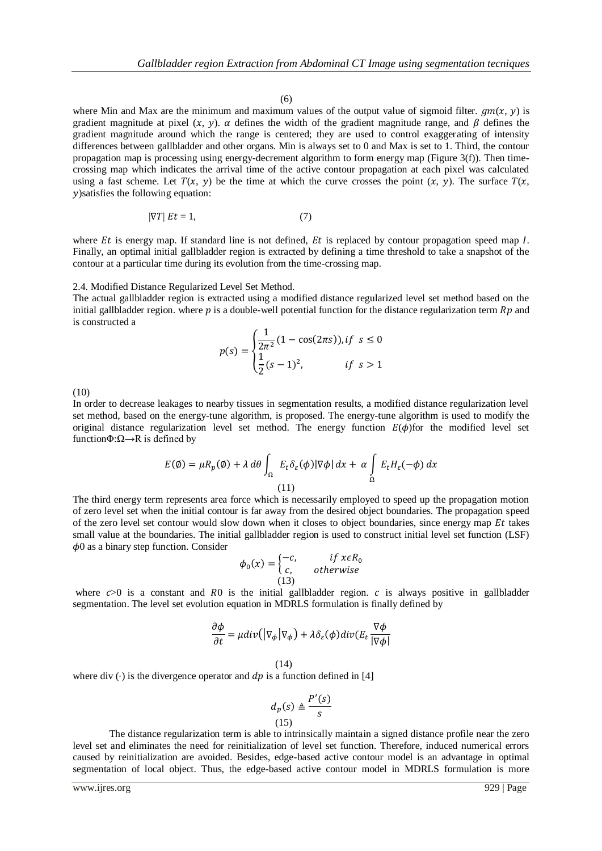#### (6)

where Min and Max are the minimum and maximum values of the output value of sigmoid filter.  $qm(x, y)$  is gradient magnitude at pixel  $(x, y)$ .  $\alpha$  defines the width of the gradient magnitude range, and  $\beta$  defines the gradient magnitude around which the range is centered; they are used to control exaggerating of intensity differences between gallbladder and other organs. Min is always set to 0 and Max is set to 1. Third, the contour propagation map is processing using energy-decrement algorithm to form energy map (Figure 3(f)). Then timecrossing map which indicates the arrival time of the active contour propagation at each pixel was calculated using a fast scheme. Let  $T(x, y)$  be the time at which the curve crosses the point  $(x, y)$ . The surface  $T(x, y)$ )satisfies the following equation:

$$
|\nabla T| Et = 1,\t(7)
$$

where  $Et$  is energy map. If standard line is not defined,  $Et$  is replaced by contour propagation speed map  $I$ . Finally, an optimal initial gallbladder region is extracted by defining a time threshold to take a snapshot of the contour at a particular time during its evolution from the time-crossing map.

#### 2.4. Modified Distance Regularized Level Set Method.

The actual gallbladder region is extracted using a modified distance regularized level set method based on the initial gallbladder region. where  $p$  is a double-well potential function for the distance regularization term  $Rp$  and is constructed a

$$
p(s) = \begin{cases} \frac{1}{2\pi^2} (1 - \cos(2\pi s)), & \text{if } s \le 0\\ \frac{1}{2} (s - 1)^2, & \text{if } s > 1 \end{cases}
$$

(10)

In order to decrease leakages to nearby tissues in segmentation results, a modified distance regularization level set method, based on the energy-tune algorithm, is proposed. The energy-tune algorithm is used to modify the original distance regularization level set method. The energy function  $E(\phi)$  for the modified level set function $\Phi$ : $\Omega \rightarrow R$  is defined by

$$
E(\emptyset) = \mu R_p(\emptyset) + \lambda \, d\theta \int_{\Omega} E_t \delta_{\varepsilon}(\phi) |\nabla \phi| \, dx + \alpha \int_{\Omega} E_t H_{\varepsilon}(-\phi) \, dx
$$
\n(11)

The third energy term represents area force which is necessarily employed to speed up the propagation motion of zero level set when the initial contour is far away from the desired object boundaries. The propagation speed of the zero level set contour would slow down when it closes to object boundaries, since energy map  $Et$  takes small value at the boundaries. The initial gallbladder region is used to construct initial level set function (LSF)  $\phi$ 0 as a binary step function. Consider

$$
\phi_0(x) = \begin{cases}\n-c, & \text{if } x \in R_0 \\
c, & \text{otherwise}\n\end{cases}
$$

where  $c>0$  is a constant and R0 is the initial gallbladder region. c is always positive in gallbladder segmentation. The level set evolution equation in MDRLS formulation is finally defined by

$$
\frac{\partial \phi}{\partial t} = \mu \text{div} \big( \big| \nabla_{\phi} \big| \nabla_{\phi} \big) + \lambda \delta_{\varepsilon}(\phi) \text{div} \big( E_t \frac{\nabla \phi}{\vert \nabla \phi \vert}
$$

$$
(14)
$$

where div  $(·)$  is the divergence operator and dp is a function defined in [4]

$$
d_p(s) \triangleq \frac{P'(s)}{s}
$$
\n
$$
(15)
$$

The distance regularization term is able to intrinsically maintain a signed distance profile near the zero level set and eliminates the need for reinitialization of level set function. Therefore, induced numerical errors caused by reinitialization are avoided. Besides, edge-based active contour model is an advantage in optimal segmentation of local object. Thus, the edge-based active contour model in MDRLS formulation is more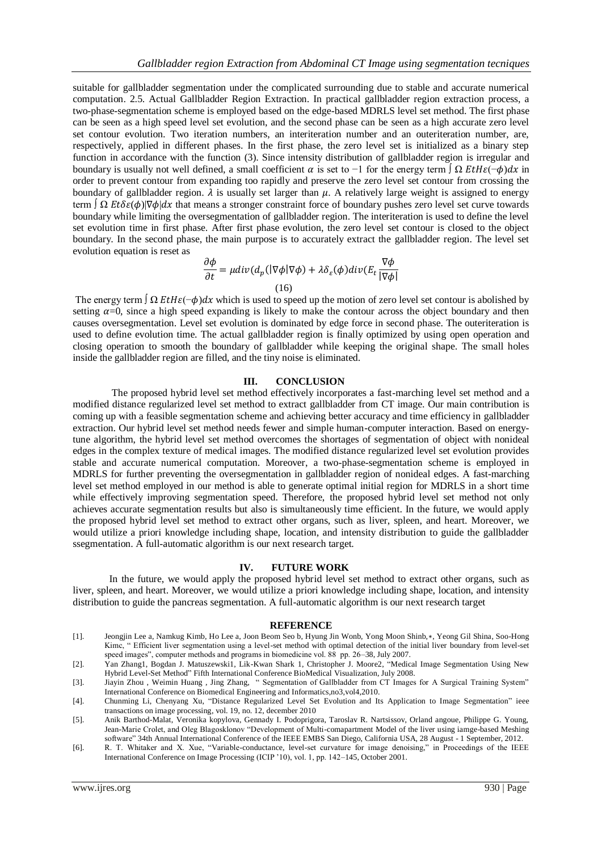suitable for gallbladder segmentation under the complicated surrounding due to stable and accurate numerical computation. 2.5. Actual Gallbladder Region Extraction. In practical gallbladder region extraction process, a two-phase-segmentation scheme is employed based on the edge-based MDRLS level set method. The first phase can be seen as a high speed level set evolution, and the second phase can be seen as a high accurate zero level set contour evolution. Two iteration numbers, an interiteration number and an outeriteration number, are, respectively, applied in different phases. In the first phase, the zero level set is initialized as a binary step function in accordance with the function (3). Since intensity distribution of gallbladder region is irregular and boundary is usually not well defined, a small coefficient  $\alpha$  is set to −1 for the energy term  $\int \Omega E t H \epsilon(-\phi) dx$  in order to prevent contour from expanding too rapidly and preserve the zero level set contour from crossing the boundary of gallbladder region.  $\lambda$  is usually set larger than  $\mu$ . A relatively large weight is assigned to energy term  $\int \Omega E t \delta \varepsilon(\phi) |\nabla \phi| dx$  that means a stronger constraint force of boundary pushes zero level set curve towards boundary while limiting the oversegmentation of gallbladder region. The interiteration is used to define the level set evolution time in first phase. After first phase evolution, the zero level set contour is closed to the object boundary. In the second phase, the main purpose is to accurately extract the gallbladder region. The level set evolution equation is reset as

$$
\frac{\partial \phi}{\partial t} = \mu \operatorname{div}(d_p(|\nabla \phi| \nabla \phi) + \lambda \delta_{\varepsilon}(\phi) \operatorname{div}(E_t \frac{\nabla \phi}{|\nabla \phi|})
$$
\n(16)

The energy term  $\int \Omega E t H \varepsilon(-\phi) dx$  which is used to speed up the motion of zero level set contour is abolished by setting  $\alpha=0$ , since a high speed expanding is likely to make the contour across the object boundary and then causes oversegmentation. Level set evolution is dominated by edge force in second phase. The outeriteration is used to define evolution time. The actual gallbladder region is finally optimized by using open operation and closing operation to smooth the boundary of gallbladder while keeping the original shape. The small holes inside the gallbladder region are filled, and the tiny noise is eliminated.

#### **III. CONCLUSION**

The proposed hybrid level set method effectively incorporates a fast-marching level set method and a modified distance regularized level set method to extract gallbladder from CT image. Our main contribution is coming up with a feasible segmentation scheme and achieving better accuracy and time efficiency in gallbladder extraction. Our hybrid level set method needs fewer and simple human-computer interaction. Based on energytune algorithm, the hybrid level set method overcomes the shortages of segmentation of object with nonideal edges in the complex texture of medical images. The modified distance regularized level set evolution provides stable and accurate numerical computation. Moreover, a two-phase-segmentation scheme is employed in MDRLS for further preventing the oversegmentation in gallbladder region of nonideal edges. A fast-marching level set method employed in our method is able to generate optimal initial region for MDRLS in a short time while effectively improving segmentation speed. Therefore, the proposed hybrid level set method not only achieves accurate segmentation results but also is simultaneously time efficient. In the future, we would apply the proposed hybrid level set method to extract other organs, such as liver, spleen, and heart. Moreover, we would utilize a priori knowledge including shape, location, and intensity distribution to guide the gallbladder ssegmentation. A full-automatic algorithm is our next research target.

#### **IV. FUTURE WORK**

In the future, we would apply the proposed hybrid level set method to extract other organs, such as liver, spleen, and heart. Moreover, we would utilize a priori knowledge including shape, location, and intensity distribution to guide the pancreas segmentation. A full-automatic algorithm is our next research target

#### **REFERENCE**

- [1]. Jeongjin Lee a, Namkug Kimb, Ho Lee a, Joon Beom Seo b, Hyung Jin Wonb, Yong Moon Shinb,∗, Yeong Gil Shina, Soo-Hong Kimc, " Efficient liver segmentation using a level-set method with optimal detection of the initial liver boundary from level-set speed images", computer methods and programs in biomedicine vol. 88 pp. 26–38, July 2007.
- [2]. Yan Zhang1, Bogdan J. Matuszewski1, Lik-Kwan Shark 1, Christopher J. Moore2, "Medical Image Segmentation Using New Hybrid Level-Set Method" Fifth International Conference BioMedical Visualization, July 2008.
- [3]. Jiayin Zhou , Weimin Huang , Jing Zhang, " Segmentation of Gallbladder from CT Images for A Surgical Training System" International Conference on Biomedical Engineering and Informatics,no3,vol4,2010.
- [4]. Chunming Li, Chenyang Xu, "Distance Regularized Level Set Evolution and Its Application to Image Segmentation" ieee transactions on image processing, vol. 19, no. 12, december 2010
- [5]. Anik Barthod-Malat, Veronika kopylova, Gennady I. Podoprigora, Taroslav R. Nartsissov, Orland angoue, Philippe G. Young, Jean-Marie Crolet, and Oleg Blagosklonov "Development of Multi-comapartment Model of the liver using iamge-based Meshing software" 34th Annual International Conference of the IEEE EMBS San Diego, California USA, 28 August - 1 September, 2012.
- [6]. R. T. Whitaker and X. Xue, "Variable-conductance, level-set curvature for image denoising," in Proceedings of the IEEE International Conference on Image Processing (ICIP '10), vol. 1, pp. 142–145, October 2001.